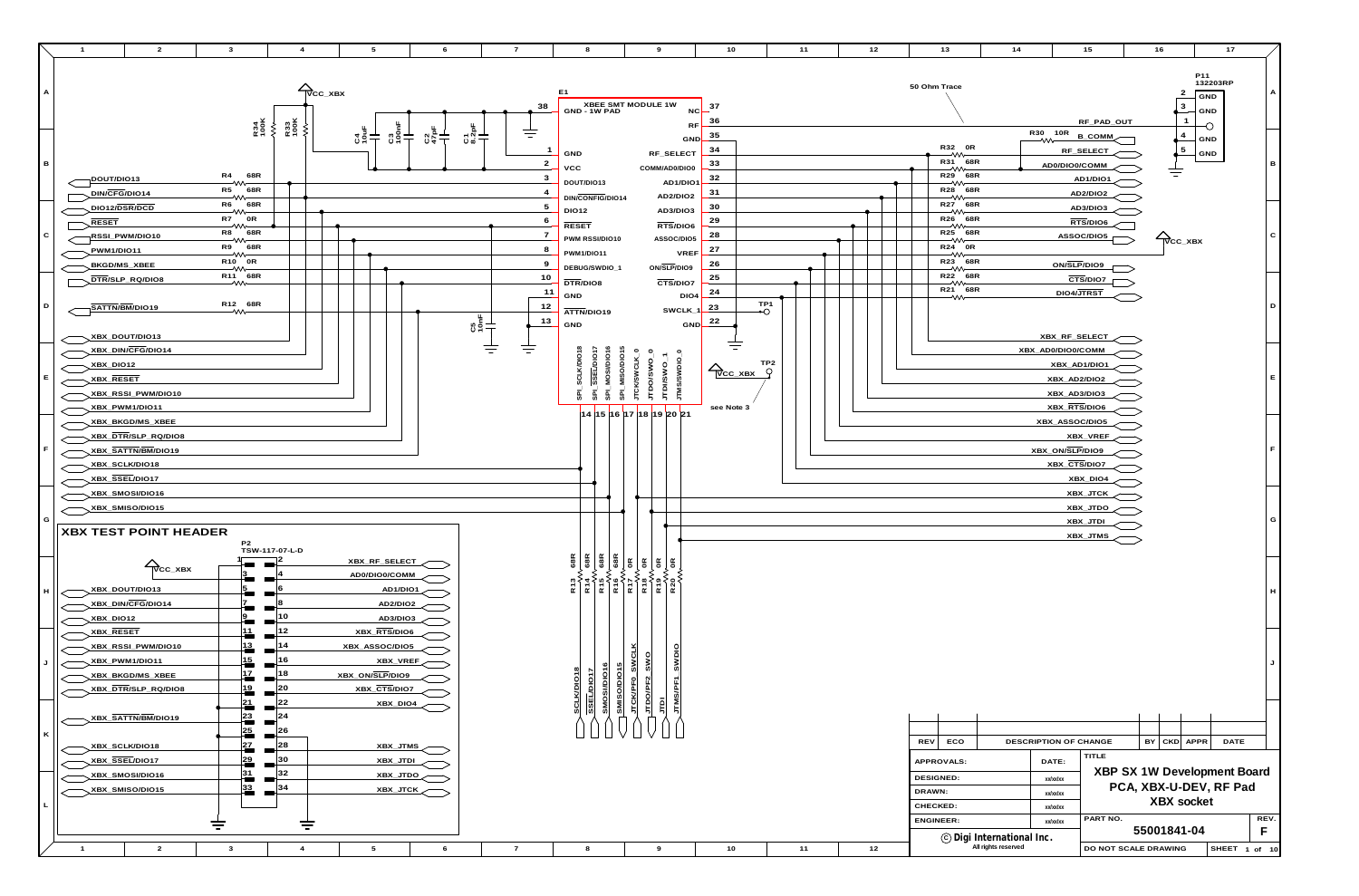

| 10                                                                  | 11                   | 12 | 13                                                                                                                                                                             | 14                                               |                                                                                                    | 15                                                 | 16 |                              | 17                                                    |              |
|---------------------------------------------------------------------|----------------------|----|--------------------------------------------------------------------------------------------------------------------------------------------------------------------------------|--------------------------------------------------|----------------------------------------------------------------------------------------------------|----------------------------------------------------|----|------------------------------|-------------------------------------------------------|--------------|
| P11<br>50 Ohm Trace<br>2<br>3<br><b>GND</b><br>1<br>RF_PAD_OUT<br>O |                      |    |                                                                                                                                                                                |                                                  |                                                                                                    | 132203RP<br>$\mathsf{GND}$                         | Α  |                              |                                                       |              |
|                                                                     |                      |    | R32 0R<br>⇜<br>R31 68R<br>$\longrightarrow\!\!\mathsf{W}\!\mathsf{C}$<br>R29 68R<br>$\rightarrow \infty$<br>R28 68R<br>$\bar{z}$ w $\sim$                                      |                                                  | R30 10R<br>⇜<br>AD0/DIO0/COMM                                                                      | <b>B_COMM</b><br>RF_SELECT<br>AD1/DIO1<br>AD2/DIO2 |    | 4<br>5                       | <b>GND</b><br>GND                                     | $\, {\bf B}$ |
|                                                                     |                      |    | R27 68R<br>$\mathop{\sim\!\!\!\sim}$<br>R26 68R<br>$\mathop{\sim\!\!\!\sim}$<br>R25 68R<br>$\rightarrow$<br>R24 0R<br>$\rightarrow \infty$<br>R23 68R<br>$\tilde{-\mathsf{w}}$ |                                                  | ON/SLP/DIO9                                                                                        | AD3/DIO3<br>RTS/DIO6<br>ASSOC/DIO5                 |    | $\overline{\text{V}}$ CC_XBX |                                                       | $\mathbf C$  |
|                                                                     | TP <sub>1</sub><br>⊷ |    | R22 68R<br>$\longrightarrow \infty$<br>R21 68R<br>∽₩                                                                                                                           |                                                  | DIO4/JTRST                                                                                         | $\overline{\text{CTS/DIO7}}$                       |    |                              |                                                       | D            |
| C_XBX<br>Note 3                                                     | TP <sub>2</sub><br>Q |    |                                                                                                                                                                                |                                                  | XBX_RF_SELECT<br>XBX_AD0/DIO0/COMM<br>XBX_AD1/DIO1<br>XBX_AD2/DIO2<br>XBX_AD3/DIO3<br>XBX_RTS/DIO6 |                                                    |    |                              |                                                       | $\mathsf E$  |
|                                                                     |                      |    |                                                                                                                                                                                |                                                  | XBX_ASSOC/DIO5<br>XBX_ON/SLP/DIO9<br>XBX_CTS/DIO7                                                  | XBX_VREF<br>XBX_DIO4                               |    |                              |                                                       | $\mathsf F$  |
|                                                                     |                      |    |                                                                                                                                                                                |                                                  |                                                                                                    | XBX_JTCK<br>XBX_JTDO<br>XBX_JTDI<br>XBX_JTMS       |    |                              |                                                       | G            |
|                                                                     |                      |    |                                                                                                                                                                                |                                                  |                                                                                                    |                                                    |    |                              |                                                       | н            |
|                                                                     |                      |    |                                                                                                                                                                                |                                                  |                                                                                                    |                                                    |    |                              |                                                       | J            |
|                                                                     |                      |    | <b>REV</b><br>ECO                                                                                                                                                              |                                                  | DESCRIPTION OF CHANGE                                                                              |                                                    | BY | <b>CKD</b>                   | APPR<br><b>DATE</b>                                   |              |
|                                                                     |                      |    | APPROVALS:<br><b>DESIGNED:</b><br>DRAWN:<br>CHECKED:                                                                                                                           |                                                  | DATE:<br>xx/xx/xx<br>xx/xx/xx<br>xx/xx/xx                                                          | TITLE                                              |    | <b>XBX</b> socket            | XBP SX 1W Development Board<br>PCA, XBX-U-DEV, RF Pad |              |
| 10                                                                  | 11                   | 12 | <b>ENGINEER:</b>                                                                                                                                                               | © Digi International Inc.<br>All rights reserved | xx/xx/xx                                                                                           | PART NO.<br>DO NOT SCALE DRAWING                   |    | 55001841-04                  | SHEET 1 of 10                                         | REV.<br>F    |
|                                                                     |                      |    |                                                                                                                                                                                |                                                  |                                                                                                    |                                                    |    |                              |                                                       |              |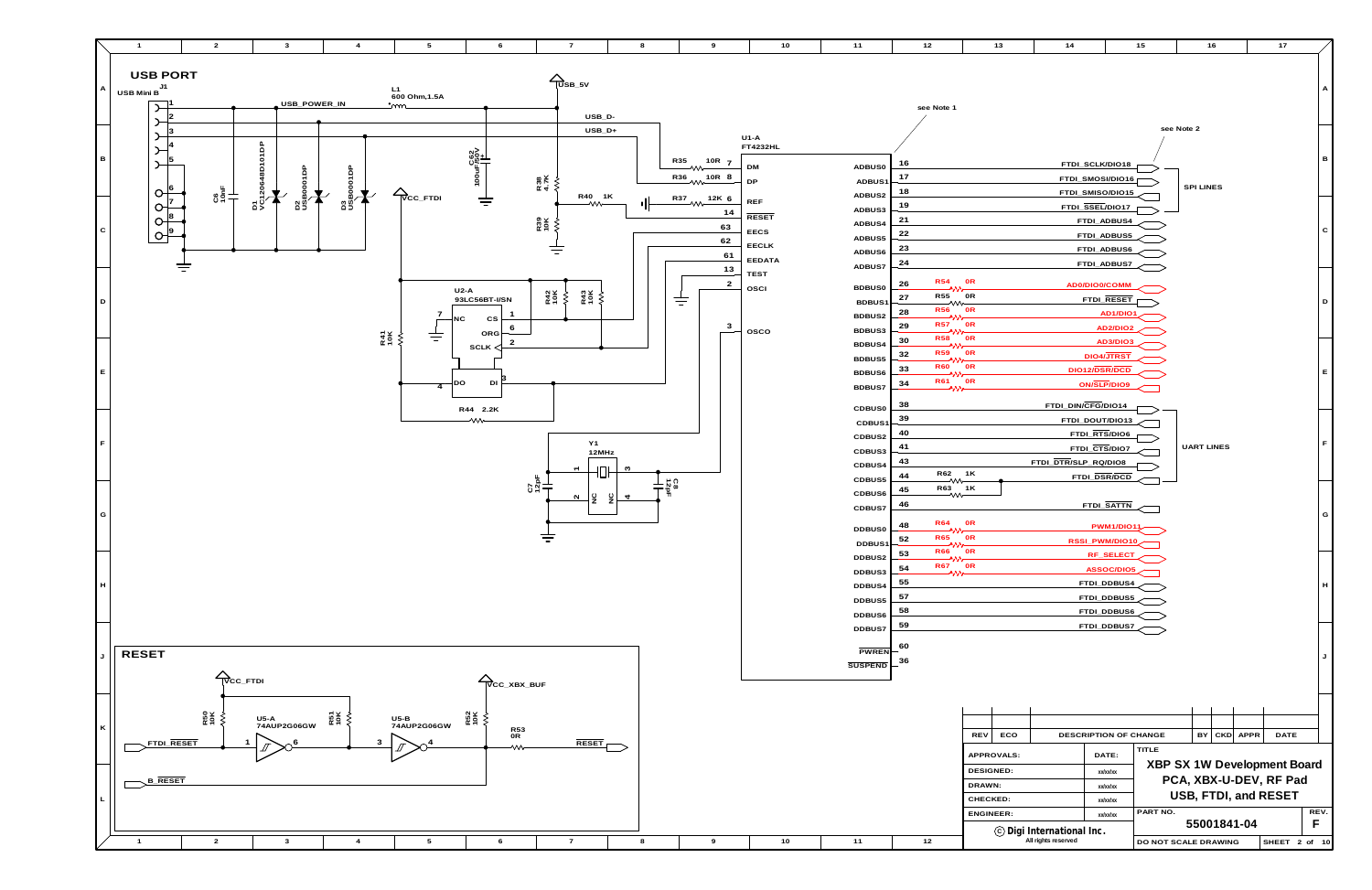**12**



**SHEET 2 of 10**

| 10 | 11                      | 12                             | 13                | 14                        |                                      | 15           | 16                                                           | 17   |             |
|----|-------------------------|--------------------------------|-------------------|---------------------------|--------------------------------------|--------------|--------------------------------------------------------------|------|-------------|
|    |                         |                                |                   |                           |                                      |              |                                                              |      |             |
|    |                         | see Note 1                     |                   |                           |                                      |              |                                                              |      | A           |
|    |                         |                                |                   |                           |                                      |              | see Note 2                                                   |      |             |
|    |                         |                                |                   |                           |                                      |              |                                                              |      |             |
|    |                         | 16                             |                   |                           |                                      |              |                                                              |      | В           |
|    | ADBUS0                  | 17                             |                   |                           | FTDI_SCLK/DIO18                      |              |                                                              |      |             |
|    | ADBUS1                  | 18                             |                   |                           | FTDI_SMOSI/DIO16<br>FTDI_SMISO/DIO15 |              | <b>SPI LINES</b>                                             |      |             |
|    | ADBUS2<br>ADBUS3        | 19                             |                   |                           | FTDI_SSEL/DIO17                      |              |                                                              |      |             |
|    | ADBUS4                  | 21                             |                   |                           | FTDI_ADBUS4                          |              |                                                              |      |             |
|    | ADBUS5                  | 22                             |                   |                           | FTDI_ADBUS5                          |              |                                                              |      | ${\bf C}$   |
|    | ADBUS6                  | 23                             |                   |                           | FTDI_ADBUS6                          |              |                                                              |      |             |
|    | ADBUS7                  | 24                             |                   |                           | FTDI_ADBUS7                          |              |                                                              |      |             |
|    |                         | <b>R54</b><br>26               | 0R                |                           | AD0/DIO0/COMM                        |              |                                                              |      |             |
|    | <b>BDBUS0</b><br>BDBUS1 | ヘハハ<br><b>R55</b><br>27        | 0R                |                           | FTDI_RESET                           |              |                                                              |      | $\mathsf D$ |
|    | BDBUS2                  | ्∿<br><b>R56</b><br>28<br>へハハー | 0R                |                           | <u>AD1/DIO1</u>                      |              |                                                              |      |             |
|    | BDBUS3                  | <b>R57</b><br>29<br>ハハー        | 0R                |                           | AD2/DIO2                             |              |                                                              |      |             |
|    | BDBUS4                  | <b>R58</b><br>30<br>ヘハハー       | 0R                |                           | AD3/DIO3                             |              |                                                              |      |             |
|    | BDBUS5                  | <b>R59</b><br>32<br>ヘハハ        | 0R                |                           | DIO4/JTRST                           |              |                                                              |      |             |
|    | BDBUS6                  | <b>R60</b><br>33<br>ハハー        | 0R                |                           | DIO12/DSR/DCD                        |              |                                                              |      | E           |
|    | BDBUS7                  | <b>R61</b><br>34<br>ヘハハー       | 0R                |                           | ON/SLP/DIO9                          |              |                                                              |      |             |
|    | <b>CDBUS0</b>           | 38                             |                   |                           | FTDI_DIN/CFG/DIO14                   |              |                                                              |      |             |
|    | CDBUS1                  | 39                             |                   |                           | FTDI_DOUT/DIO13                      |              |                                                              |      |             |
|    | CDBUS2                  | 40                             |                   |                           | FTDI_RTS/DIO6                        |              |                                                              |      | $\mathsf F$ |
|    | CDBUS3                  | 41                             |                   |                           | FTDI_CTS/DIO7                        |              | <b>UART LINES</b>                                            |      |             |
|    | CDBUS4                  | 43<br>R62                      | 1K                | FTDI_DTR/SLP_RQ/DIO8      |                                      |              |                                                              |      |             |
|    | CDBUS5                  | 44<br>्∿<br>R63<br>45          | 1K                |                           | FTDI_DSR/DCD                         |              |                                                              |      |             |
|    | CDBUS6                  | 灬<br>46                        |                   |                           | FTDI_SATTN                           |              |                                                              |      |             |
|    | CDBUS7                  | <b>R64</b>                     | 0R                |                           |                                      |              |                                                              |      | G           |
|    | DDBUS0                  | 48<br>^ዖዖ<br><b>R65</b><br>52  | 0R                |                           | <b>PWM1/DIO11</b>                    |              |                                                              |      |             |
|    | DDBUS1                  | ላለአ<br><b>R66</b><br>53        | 0R                |                           | RSSI_PWM/DIO10                       |              |                                                              |      |             |
|    | DDBUS2                  | ヘハハー<br><b>R67</b><br>54       | 0R                |                           | RF_SELECT<br><b>ASSOC/DIO5</b>       |              |                                                              |      |             |
|    | DDBUS3<br>DDBUS4        | ハハィ<br>55                      |                   |                           | FTDI_DDBUS4                          |              |                                                              |      | H           |
|    | DDBUS5                  | 57                             |                   |                           | FTDI_DDBUS5                          |              |                                                              |      |             |
|    | DDBUS6                  | 58                             |                   |                           | FTDI_DDBUS6                          |              |                                                              |      |             |
|    | DDBUS7                  | 59                             |                   |                           | FTDI_DDBUS7                          |              |                                                              |      |             |
|    |                         | 60                             |                   |                           |                                      |              |                                                              |      |             |
|    | PWREN                   | 36                             |                   |                           |                                      |              |                                                              |      | J           |
|    | <b>SUSPEND</b>          |                                |                   |                           |                                      |              |                                                              |      |             |
|    |                         |                                |                   |                           |                                      |              |                                                              |      |             |
|    |                         |                                |                   |                           |                                      |              |                                                              |      |             |
|    |                         |                                |                   |                           |                                      |              |                                                              |      |             |
|    |                         |                                | ECO<br><b>REV</b> |                           | DESCRIPTION OF CHANGE                |              | CKD APPR<br>BY                                               | DATE |             |
|    |                         |                                | APPROVALS:        |                           | DATE:                                | <b>TITLE</b> |                                                              |      |             |
|    |                         |                                | <b>DESIGNED:</b>  |                           | xx/xx/xx                             |              | <b>XBP SX 1W Development Board</b><br>PCA, XBX-U-DEV, RF Pad |      |             |
|    |                         |                                | DRAWN:            |                           | xx/xx/xx                             |              | USB, FTDI, and RESET                                         |      |             |
|    |                         |                                | CHECKED:          |                           | xx/xx/xx                             | PART NO.     |                                                              |      | REV.        |
|    |                         |                                | <b>ENGINEER:</b>  |                           | xx/xx/xx                             |              | 55001841-04                                                  |      | F           |
|    |                         |                                |                   | © Digi International Inc. |                                      |              |                                                              |      |             |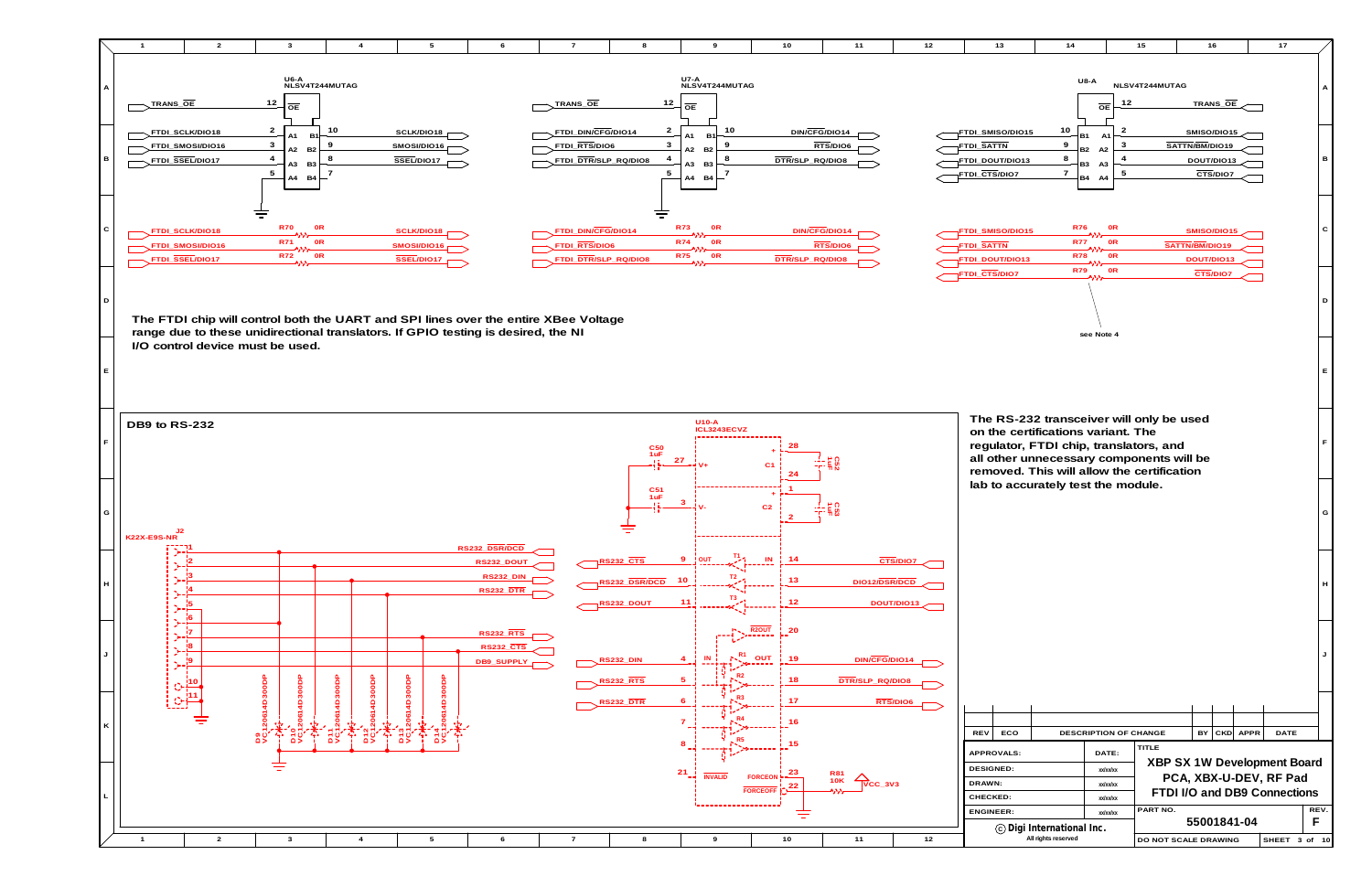

| 10                                      | 11                                    | 12                     | 13                                                                                                                                                                                                                 | 14                                                                                        |                                                                                     | 15                   |                                             | 16                                        |             | 17                                                                                           |                                |
|-----------------------------------------|---------------------------------------|------------------------|--------------------------------------------------------------------------------------------------------------------------------------------------------------------------------------------------------------------|-------------------------------------------------------------------------------------------|-------------------------------------------------------------------------------------|----------------------|---------------------------------------------|-------------------------------------------|-------------|----------------------------------------------------------------------------------------------|--------------------------------|
| DIN/CFG/DIO14<br>TR/ <u>SLP_RQ/DIO8</u> | RTS/DIO6                              |                        | FTDI_SMISO/DIO15<br><b>FTDI_SATTN</b><br>FTDI_DOUT/DIO13<br>FTDI_CTS/DIO7                                                                                                                                          | <b>U8-A</b><br>10<br><b>B1</b><br>9<br><b>B2</b><br>8<br>B <sub>3</sub><br>$\overline{7}$ | 12<br>$\overline{OE}$<br>2<br>A <sub>1</sub><br>3<br>A2<br>4<br>A <sub>3</sub><br>5 | NLSV4T244MUTAG       | SMISO/DIO15<br>SATTN/BM/DIO19<br>DOUT/DIO13 | TRANS_OE<br>$\overline{\text{CTS}}$ /DIO7 |             |                                                                                              | $\boldsymbol{\mathsf{A}}$<br>в |
| DIN/CFG/DIO14<br>TR/SLP_RQ/DIO8         | RTS/DIO6                              |                        | FTDI_SMISO/DIO15<br><b>FTDI_SATTN</b><br>FTDI_DOUT/DIO13                                                                                                                                                           | B4<br><b>R76</b><br><b>R77</b><br><b>R78</b>                                              | A4<br>0 <sub>R</sub><br>0 <sub>R</sub><br>0 <sub>R</sub>                            |                      | SMISO/DIO15<br>SATTN/BM/DIO19<br>DOUT/DIO13 |                                           |             |                                                                                              | $\mathbf C$                    |
|                                         |                                       |                        | FTDI_CTS/DIO7                                                                                                                                                                                                      | <b>R79</b><br>^ዖዖ<br>see Note 4                                                           | 0R                                                                                  |                      |                                             | CTS/DIO7                                  |             |                                                                                              | D                              |
|                                         |                                       |                        |                                                                                                                                                                                                                    |                                                                                           |                                                                                     |                      |                                             |                                           |             |                                                                                              | $\mathsf E$                    |
| 28<br>24                                |                                       |                        | The RS-232 transceiver will only be used<br>on the certifications variant. The<br>regulator, FTDI chip, translators, and<br>all other unnecessary components will be<br>removed. This will allow the certification |                                                                                           |                                                                                     |                      |                                             |                                           |             |                                                                                              | $\mathsf F$                    |
| $\overline{2}$                          | 1- = 0<br>"T" 뒤 03                    |                        | lab to accurately test the module.                                                                                                                                                                                 |                                                                                           |                                                                                     |                      |                                             |                                           |             |                                                                                              | G                              |
| 14<br>13<br>12                          | DIO12/DSR/DCD                         | CTS/DIO7<br>DOUT/DIO13 |                                                                                                                                                                                                                    |                                                                                           |                                                                                     |                      |                                             |                                           |             |                                                                                              | H                              |
| $\frac{20}{1}$<br>19<br>18              | DIN/CFG/DIO14<br>DTR/SLP_RQ/DIO8      |                        |                                                                                                                                                                                                                    |                                                                                           |                                                                                     |                      |                                             |                                           |             |                                                                                              | J                              |
| 17<br>- 16<br>15                        |                                       | RTS/DIO6               | <b>REV</b><br>ECO                                                                                                                                                                                                  | DESCRIPTION OF CHANGE                                                                     |                                                                                     | <b>TITLE</b>         | BY                                          | <b>CKD</b>                                | <b>APPR</b> | DATE                                                                                         |                                |
| 23<br>,22                               | <b>R81</b><br>10K<br>$\sqrt{C}C_3$ V3 |                        | APPROVALS:<br><b>DESIGNED:</b><br>DRAWN:<br>CHECKED:<br><b>ENGINEER:</b>                                                                                                                                           |                                                                                           | DATE:<br>xx/xx/xx<br>xx/xx/xx<br>xx/xx/xx<br>xx/xx/xx                               | PART NO.             |                                             |                                           |             | <b>XBP SX 1W Development Board</b><br>PCA, XBX-U-DEV, RF Pad<br>FTDI I/O and DB9 Connections | REV.                           |
| 10                                      | 11                                    | 12                     |                                                                                                                                                                                                                    | © Digi International Inc.<br>All rights reserved                                          |                                                                                     | DO NOT SCALE DRAWING | 55001841-04                                 |                                           |             | SHEET 3 of 10                                                                                | F                              |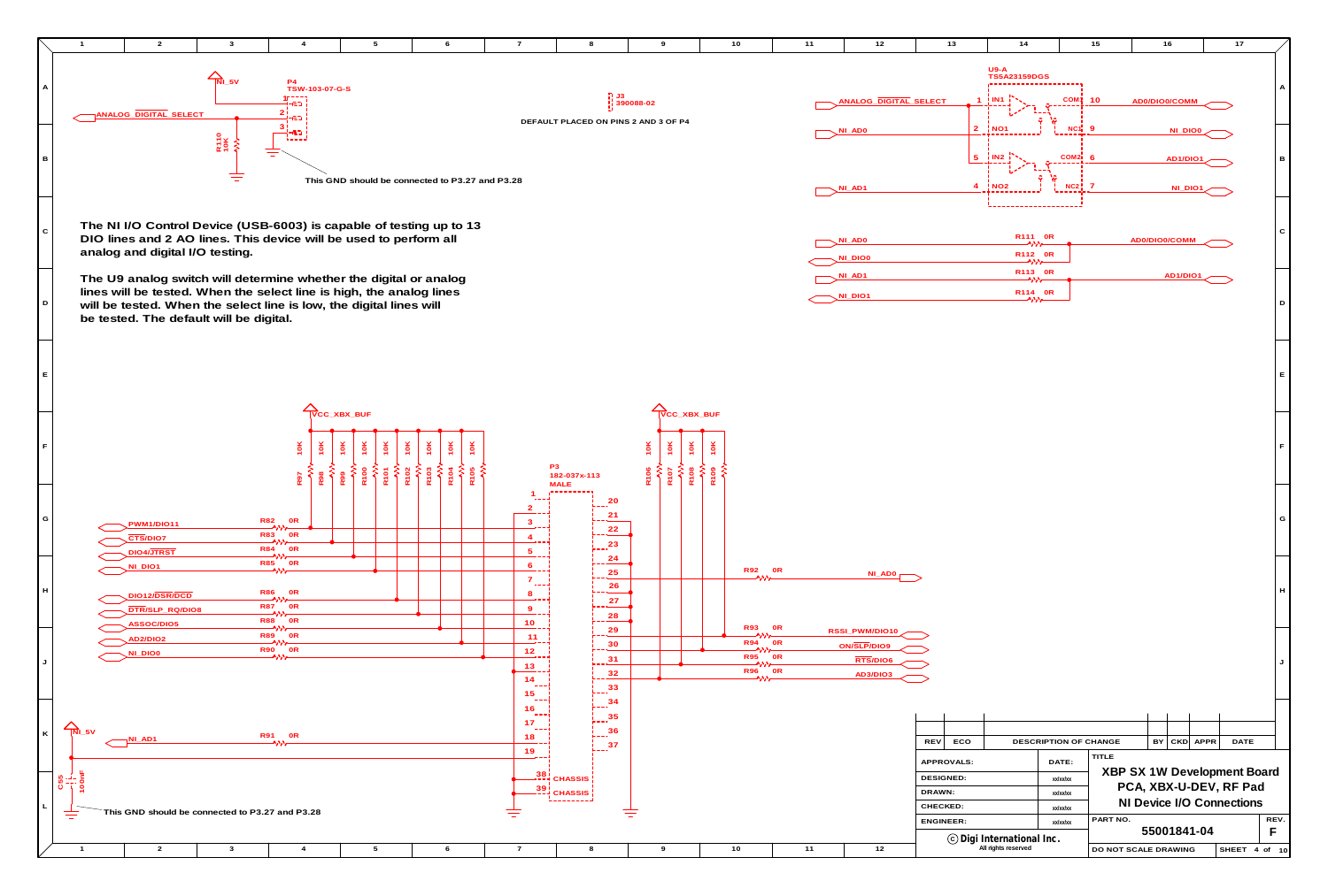

| 10                                     | 11                   | 12                               | 13                             | 14                                               |                       | 15                          | 16            |          |          | 17                        |                 |
|----------------------------------------|----------------------|----------------------------------|--------------------------------|--------------------------------------------------|-----------------------|-----------------------------|---------------|----------|----------|---------------------------|-----------------|
|                                        |                      |                                  |                                | $U9-A$<br><b>TS5A23159DGS</b>                    |                       |                             |               |          |          |                           |                 |
|                                        |                      | ANALOG_DIGITAL_SELECT            |                                | $1$   IN1 $\overline{1}$                         | COM <sup>1</sup> 10   |                             | AD0/DIO0/COMM |          |          |                           | A               |
|                                        |                      | NI_ADO                           |                                | $2 \nmid NO1$                                    | $NC1$ 9               |                             |               | NI_DIO0  |          |                           |                 |
|                                        |                      |                                  | 5                              | i IN2 i                                          | $COM2$ 6              |                             |               | AD1/DIO1 |          |                           | $\, {\bf B} \,$ |
|                                        |                      | $NI$ <sub><math>AD1</math></sub> | 4                              | $!$ NO <sub>2</sub>                              | $NC2$ 7               |                             |               | NI_DIO1  |          |                           |                 |
|                                        |                      |                                  |                                | R111 0R                                          |                       |                             |               |          |          |                           | ${\bf C}$       |
|                                        |                      | NI_AD0<br>NI_DIO0                |                                | 一个八八一<br>R112 0R<br>一个八一                         |                       |                             | AD0/DIO0/COMM |          |          |                           |                 |
|                                        |                      | $NI$ <sub><math>AD1</math></sub> |                                | R113 0R<br>へいん<br>R114 OR                        |                       |                             |               | AD1/DIO1 |          |                           |                 |
|                                        |                      | NI_DIO1                          |                                | $\rightarrow$                                    |                       |                             |               |          |          |                           | D               |
|                                        |                      |                                  |                                |                                                  |                       |                             |               |          |          |                           |                 |
|                                        |                      |                                  |                                |                                                  |                       |                             |               |          |          |                           | E.              |
|                                        |                      |                                  |                                |                                                  |                       |                             |               |          |          |                           |                 |
|                                        |                      |                                  |                                |                                                  |                       |                             |               |          |          |                           | F               |
|                                        |                      |                                  |                                |                                                  |                       |                             |               |          |          |                           |                 |
|                                        |                      |                                  |                                |                                                  |                       |                             |               |          |          |                           |                 |
|                                        |                      |                                  |                                |                                                  |                       |                             |               |          |          |                           | G               |
| <b>R92</b>                             | 0R                   |                                  |                                |                                                  |                       |                             |               |          |          |                           |                 |
| ヘハハ                                    |                      | NI_AD0                           |                                |                                                  |                       |                             |               |          |          |                           | H               |
| <b>R93</b>                             | 0R                   | RSSI_PWM/DIO10                   |                                |                                                  |                       |                             |               |          |          |                           |                 |
| ヘパパ<br><b>R94</b><br>ヘハハ<br><b>R95</b> | 0R<br>0 <sub>R</sub> | ON/SLP/DIO9                      |                                |                                                  |                       |                             |               |          |          |                           |                 |
| ヘハハ<br>R96<br>ヘハハ                      | 0 <sub>R</sub>       | RTS/DIO6<br><b>AD3/DIO3</b>      |                                |                                                  |                       |                             |               |          |          |                           | J               |
|                                        |                      |                                  |                                |                                                  |                       |                             |               |          |          |                           |                 |
|                                        |                      |                                  |                                |                                                  |                       |                             |               |          |          |                           |                 |
|                                        |                      |                                  | <b>REV</b><br>ECO              |                                                  | DESCRIPTION OF CHANGE | <b>TITLE</b>                | BY            |          | CKD APPR | <b>DATE</b>               |                 |
|                                        |                      |                                  | APPROVALS:<br><b>DESIGNED:</b> |                                                  | DATE:<br>xx/xx/xx     | XBP SX 1W Development Board |               |          |          |                           |                 |
|                                        |                      |                                  | DRAWN:                         |                                                  | xx/xx/xx              |                             |               |          |          | PCA, XBX-U-DEV, RF Pad    |                 |
|                                        |                      |                                  | CHECKED:                       |                                                  | xx/xx/xx              |                             |               |          |          | NI Device I/O Connections |                 |
|                                        |                      |                                  | <b>ENGINEER:</b>               |                                                  | xx/xx/xx              | PART NO.                    | 55001841-04   |          |          |                           | REV.<br>F       |
| 10                                     | $11$                 | 12                               |                                | © Digi International Inc.<br>All rights reserved |                       | DO NOT SCALE DRAWING        |               |          |          | SHEET 4 of 10             |                 |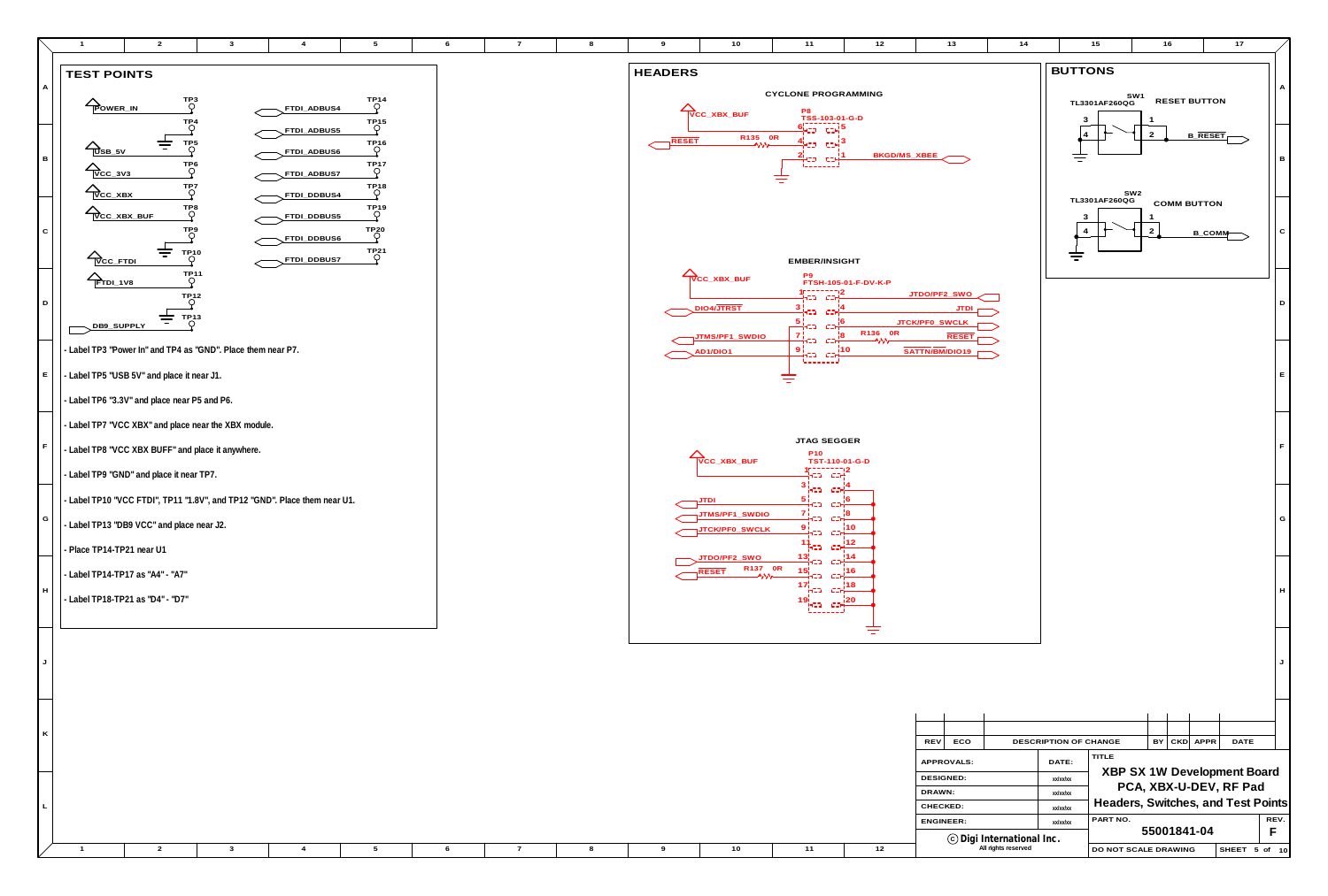|  |  |  |  |  |  | (c) Digi International Inc. |                                           |
|--|--|--|--|--|--|-----------------------------|-------------------------------------------|
|  |  |  |  |  |  | All righte recensed<br>.    | <b>SCALE DRAWING</b><br><b>LDO NOT SC</b> |

**L**



|             | $\overline{2}$                                                                                     | $\mathbf{3}$                                                                         | $\overline{4}$                            | $5\overline{5}$                                                         | 6 | $\overline{7}$ | 8 | 9              | 10                                                                       | 11                                                                                                                                                                 | 12                                        | 13                                                                    | 14 | 15                                           | 16                          |
|-------------|----------------------------------------------------------------------------------------------------|--------------------------------------------------------------------------------------|-------------------------------------------|-------------------------------------------------------------------------|---|----------------|---|----------------|--------------------------------------------------------------------------|--------------------------------------------------------------------------------------------------------------------------------------------------------------------|-------------------------------------------|-----------------------------------------------------------------------|----|----------------------------------------------|-----------------------------|
|             | <b>TEST POINTS</b>                                                                                 |                                                                                      |                                           |                                                                         |   |                |   | <b>HEADERS</b> |                                                                          |                                                                                                                                                                    |                                           |                                                                       |    | <b>BUTTONS</b>                               |                             |
| A           | POWER_IN                                                                                           | TP3<br>O<br>$T_{\bigcirc}^{P4}$                                                      | FTDI_ADBUS4<br>FTDI_ADBUS5                | $T_{Q}^{P14}$<br>$\bigcirc$                                             |   |                |   |                | VCC_XBX_BUF                                                              | <b>CYCLONE PROGRAMMING</b><br>P8<br>TSS-103-01-G-D<br><mark>아고그 도거</mark><br><b>무고그 도</b> 거                                                                        |                                           |                                                                       |    | SW1<br>TL3301AF260QG<br>3<br>$\vert 4 \vert$ | <b>RES</b>                  |
| в           | 三<br>$\sum_{\text{UBB}_5\vee}$<br>$\triangle$ <sub>VCC_3V3</sub><br>$\triangle$ <sub>VCC_XBX</sub> | TP <sub>5</sub><br>TP <sub>6</sub><br>$T_{\rho}^{\text{P7}}$                         | FTDI_ADBUS6<br>FTDI_ADBUS7                | $\bigcirc_{\bullet}^{TP16}$<br>$\bigcirc$ <sup>TP17</sup><br>$\bigcirc$ |   |                |   | RESET          | R135 OR                                                                  | jero crej <sup>3</sup><br>ilea eall<br>Talaitea<br>专                                                                                                               | BKGD/MS_XBEE                              |                                                                       |    | $\equiv$                                     | $\frac{2}{ }$               |
| $\mathbf C$ | $\triangle$ <sub>VCC_XBX_BUF</sub>                                                                 | $T_{\bigcirc}^{\text{P8}}$<br>тр9<br>О                                               | FTDI_DDBUS4<br>FTDI_DDBUS5<br>FTDI_DDBUS6 | $\bigcirc$ <sup>TP20</sup>                                              |   |                |   |                |                                                                          |                                                                                                                                                                    |                                           |                                                                       |    | SW2<br>TL3301AF260QG<br>3<br>$\overline{4}$  | <b>CON</b><br>$\frac{2}{ }$ |
| D           | 吉<br>$\sum_{VCC\_FTDI}$<br>$\sum$ FTDI_1V8                                                         | $\mathsf{T}^\mathsf{P10}_\mathsf{Q}$<br>$T^{P11}_{\bigcirc}$<br>$T_{\bigcirc}^{P12}$ | FTDI_DDBUST                               | $\Gamma$ P <sub>21</sub>                                                |   |                |   |                | $\sum_{\text{VCC}\_\text{XBX}\_\text{BUF}}$                              | EMBER/INSIGHT<br>P9<br>$40 - - - - - - - 12$<br>(ಸಾಂಗ್ರ                                                                                                            | FTSH-105-01-F-DV-K-P                      | JTDO/PF2_SWO                                                          |    | 吉                                            |                             |
|             | 吉<br>DB9_SUPPLY<br>- Label TP3 "Power In" and TP4 as "GND". Place them near P7.                    | TP13<br>Q                                                                            |                                           |                                                                         |   |                |   |                | DIO4/JTRST<br><u>JTMS/PF1_SWDIO</u><br>AD <sub>1</sub> /DIO <sub>1</sub> | $\frac{3\mathbf{i}}{2\sqrt{2}}$ and<br>$=$ $\frac{5}{1}$<br>$c = \frac{16}{15}$<br>် zijin<br>ကိုးသ<br>$c = \frac{18}{15}$<br>$\frac{9!}{1}$ -3 c- $\frac{110}{1}$ | R136 OR                                   | JTDI <sub>r</sub><br>JTCK/PF0_SWCLK<br><b>RESET</b><br>SATTN/BM/DIO19 |    |                                              |                             |
| E           | - Label TP5 "USB 5V" and place it near J1.                                                         |                                                                                      |                                           |                                                                         |   |                |   |                |                                                                          | المستشمستا<br>亏                                                                                                                                                    |                                           |                                                                       |    |                                              |                             |
|             | - Label TP6 "3.3V" and place near P5 and P6.                                                       |                                                                                      |                                           |                                                                         |   |                |   |                |                                                                          |                                                                                                                                                                    |                                           |                                                                       |    |                                              |                             |
|             | - Label TP7 "VCC XBX" and place near the XBX module.                                               |                                                                                      |                                           |                                                                         |   |                |   |                |                                                                          |                                                                                                                                                                    |                                           |                                                                       |    |                                              |                             |
| F.          | - Label TP8 "VCC XBX BUFF" and place it anywhere.                                                  |                                                                                      |                                           |                                                                         |   |                |   |                | $\sum_{\text{VCC}\_\text{XBX}\_\text{BUF}}$                              | <b>JTAG SEGGER</b><br>P10<br>TST-110-01-G-D                                                                                                                        |                                           |                                                                       |    |                                              |                             |
|             | $\vert$ - Label TP9 "GND" and place it near TP7.                                                   |                                                                                      |                                           |                                                                         |   |                |   |                |                                                                          | 1555555512<br>1 <mark>405 - 004</mark> 1<br>$\frac{3}{1}$ $\frac{1}{1}$                                                                                            |                                           |                                                                       |    |                                              |                             |
| G           | - Label TP10 "VCC FTDI", TP11 "1.8V", and TP12 "GND". Place them near U1.                          |                                                                                      |                                           |                                                                         |   |                |   |                | <u>וסדע</u> ר<br>JTMS/PF1_SWDIO                                          | $\frac{5}{1}$<br>-C2H<br>$\frac{7}{1}$ ca<br><b>CZHF</b>                                                                                                           |                                           |                                                                       |    |                                              |                             |
|             | - Label TP13 "DB9 VCC" and place near J2.                                                          |                                                                                      |                                           |                                                                         |   |                |   |                | JTCK/PF0_SWCLK                                                           | 9 i<br>きこつ<br><b>CIH</b><br>FCD.                                                                                                                                   | $\frac{1}{2}$ 10<br>$\sim$ co- $^{112}$ . |                                                                       |    |                                              |                             |
|             | - Place TP14-TP21 near U1<br>- Label TP14-TP17 as "A4" - "A7"                                      |                                                                                      |                                           |                                                                         |   |                |   |                | JTDO/PF2_SWO<br>R137 OR<br>$\neg$ RESET                                  | $\frac{13}{1}$ -22<br>- CSH<br>15¦<br>-C                                                                                                                           | !14                                       |                                                                       |    |                                              |                             |
| H           | - Label TP18-TP21 as "D4" - "D7"                                                                   |                                                                                      |                                           |                                                                         |   |                |   |                |                                                                          | $17\frac{1}{112}$ can $18$<br>$19^{1}_{11}$<br>L______J                                                                                                            |                                           |                                                                       |    |                                              |                             |
| J           |                                                                                                    |                                                                                      |                                           |                                                                         |   |                |   |                |                                                                          |                                                                                                                                                                    | ਵ                                         |                                                                       |    |                                              |                             |
| K           |                                                                                                    |                                                                                      |                                           |                                                                         |   |                |   |                |                                                                          |                                                                                                                                                                    |                                           | ECO<br>REV                                                            |    | DESCRIPTION OF CHANGE<br>منصبط ا             | $\mathsf{BY}$               |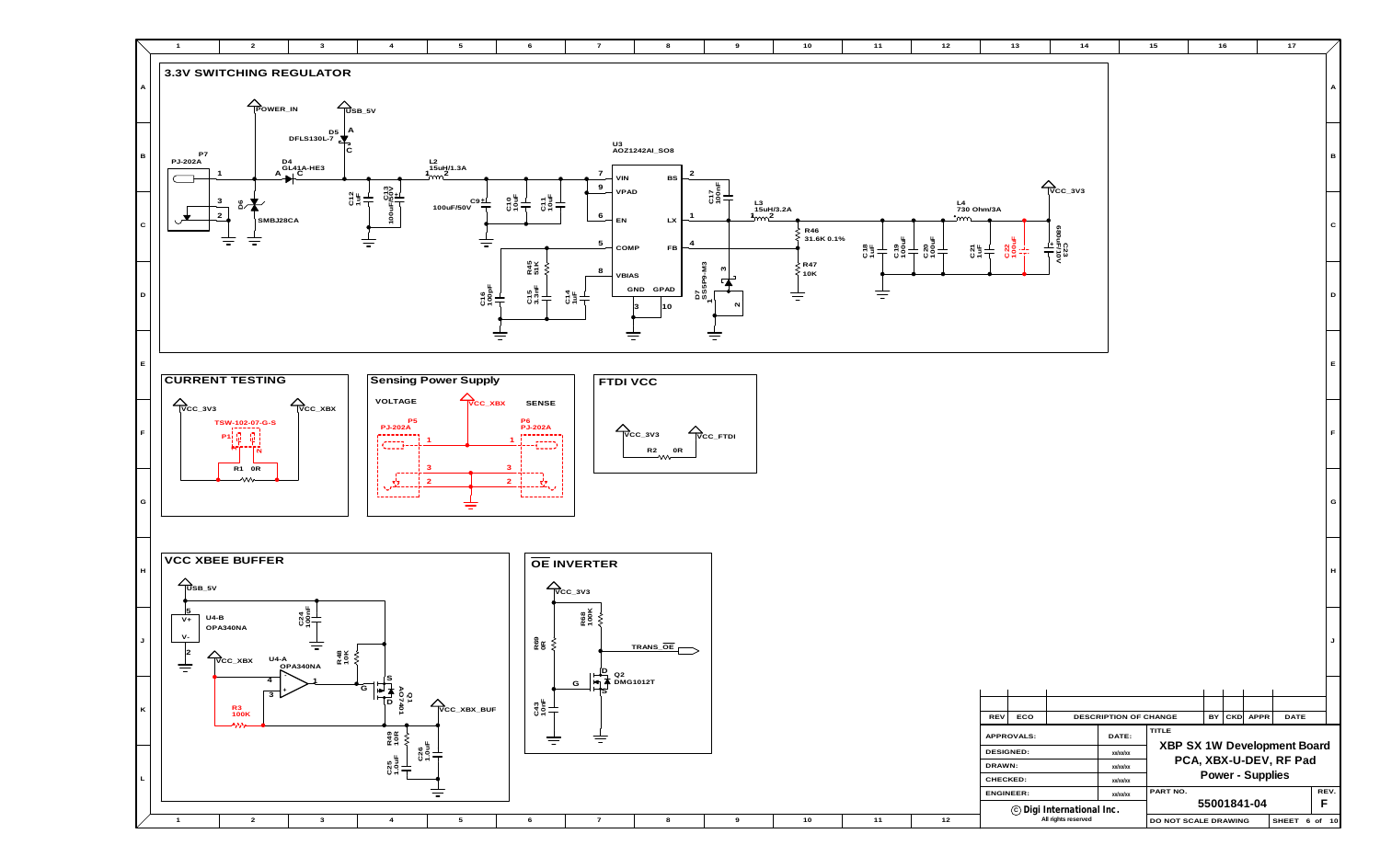

| $\overline{10}$ | $11$                | $12$                | $13$                           | $14$                                                        |                       | 15                          |    | 16 |                  | $17$                   |              |
|-----------------|---------------------|---------------------|--------------------------------|-------------------------------------------------------------|-----------------------|-----------------------------|----|----|------------------|------------------------|--------------|
|                 |                     |                     |                                |                                                             |                       |                             |    |    |                  |                        | $\mathsf A$  |
|                 |                     |                     |                                |                                                             |                       |                             |    |    |                  |                        |              |
|                 |                     |                     |                                |                                                             |                       |                             |    |    |                  |                        |              |
|                 |                     |                     |                                |                                                             |                       |                             |    |    |                  |                        |              |
|                 |                     |                     |                                |                                                             |                       |                             |    |    |                  |                        | $\, {\bf B}$ |
|                 |                     |                     |                                | $\sum_{\text{VCC}_3}$                                       |                       |                             |    |    |                  |                        |              |
|                 |                     | L4<br>730 Ohm/3A    |                                |                                                             |                       |                             |    |    |                  |                        |              |
| R46             |                     | <u>•്നന</u>         |                                |                                                             |                       |                             |    |    |                  |                        | $\mathbf C$  |
| 31.6K 0.1%      | C19<br>100uF<br>C18 | C20<br>100uF<br>C21 | $rac{22}{1004}$                | C23<br>MOVE/10V<br>680uF/10V                                |                       |                             |    |    |                  |                        |              |
| R47<br>10K      |                     |                     |                                |                                                             |                       |                             |    |    |                  |                        |              |
|                 |                     |                     |                                |                                                             |                       |                             |    |    |                  |                        | $\mathsf D$  |
|                 |                     |                     |                                |                                                             |                       |                             |    |    |                  |                        |              |
|                 |                     |                     |                                |                                                             |                       |                             |    |    |                  |                        |              |
|                 |                     |                     |                                |                                                             |                       |                             |    |    |                  |                        |              |
|                 |                     |                     |                                |                                                             |                       |                             |    |    |                  |                        | $\mathsf E$  |
|                 |                     |                     |                                |                                                             |                       |                             |    |    |                  |                        |              |
|                 |                     |                     |                                |                                                             |                       |                             |    |    |                  |                        |              |
|                 |                     |                     |                                |                                                             |                       |                             |    |    |                  |                        | F            |
|                 |                     |                     |                                |                                                             |                       |                             |    |    |                  |                        |              |
|                 |                     |                     |                                |                                                             |                       |                             |    |    |                  |                        |              |
|                 |                     |                     |                                |                                                             |                       |                             |    |    |                  |                        | $\mathsf{G}$ |
|                 |                     |                     |                                |                                                             |                       |                             |    |    |                  |                        |              |
|                 |                     |                     |                                |                                                             |                       |                             |    |    |                  |                        |              |
|                 |                     |                     |                                |                                                             |                       |                             |    |    |                  |                        |              |
|                 |                     |                     |                                |                                                             |                       |                             |    |    |                  |                        | H            |
|                 |                     |                     |                                |                                                             |                       |                             |    |    |                  |                        |              |
|                 |                     |                     |                                |                                                             |                       |                             |    |    |                  |                        |              |
|                 |                     |                     |                                |                                                             |                       |                             |    |    |                  |                        | J            |
|                 |                     |                     |                                |                                                             |                       |                             |    |    |                  |                        |              |
|                 |                     |                     |                                |                                                             |                       |                             |    |    |                  |                        |              |
|                 |                     |                     |                                |                                                             |                       |                             |    |    |                  |                        |              |
|                 |                     |                     | REV<br>ECO                     |                                                             | DESCRIPTION OF CHANGE | <b>TITLE</b>                | BY |    | CKD APPR         | <b>DATE</b>            |              |
|                 |                     |                     | APPROVALS:<br><b>DESIGNED:</b> |                                                             | DATE:<br>xx/xx/xx     | XBP SX 1W Development Board |    |    |                  |                        |              |
|                 |                     |                     | DRAWN:                         |                                                             | xx/xx/xx              |                             |    |    |                  | PCA, XBX-U-DEV, RF Pad |              |
|                 |                     |                     | CHECKED:<br><b>ENGINEER:</b>   |                                                             | xx/xx/xx              | PART NO.                    |    |    | Power - Supplies |                        | REV.         |
|                 |                     |                     |                                | $\copyright$ Digi International Inc.<br>All rights reserved | xx/xx/xx              |                             |    |    | 55001841-04      |                        | F            |
| 10              | $11$                | 12                  |                                |                                                             |                       | DO NOT SCALE DRAWING        |    |    |                  | SHEET 6 of 10          |              |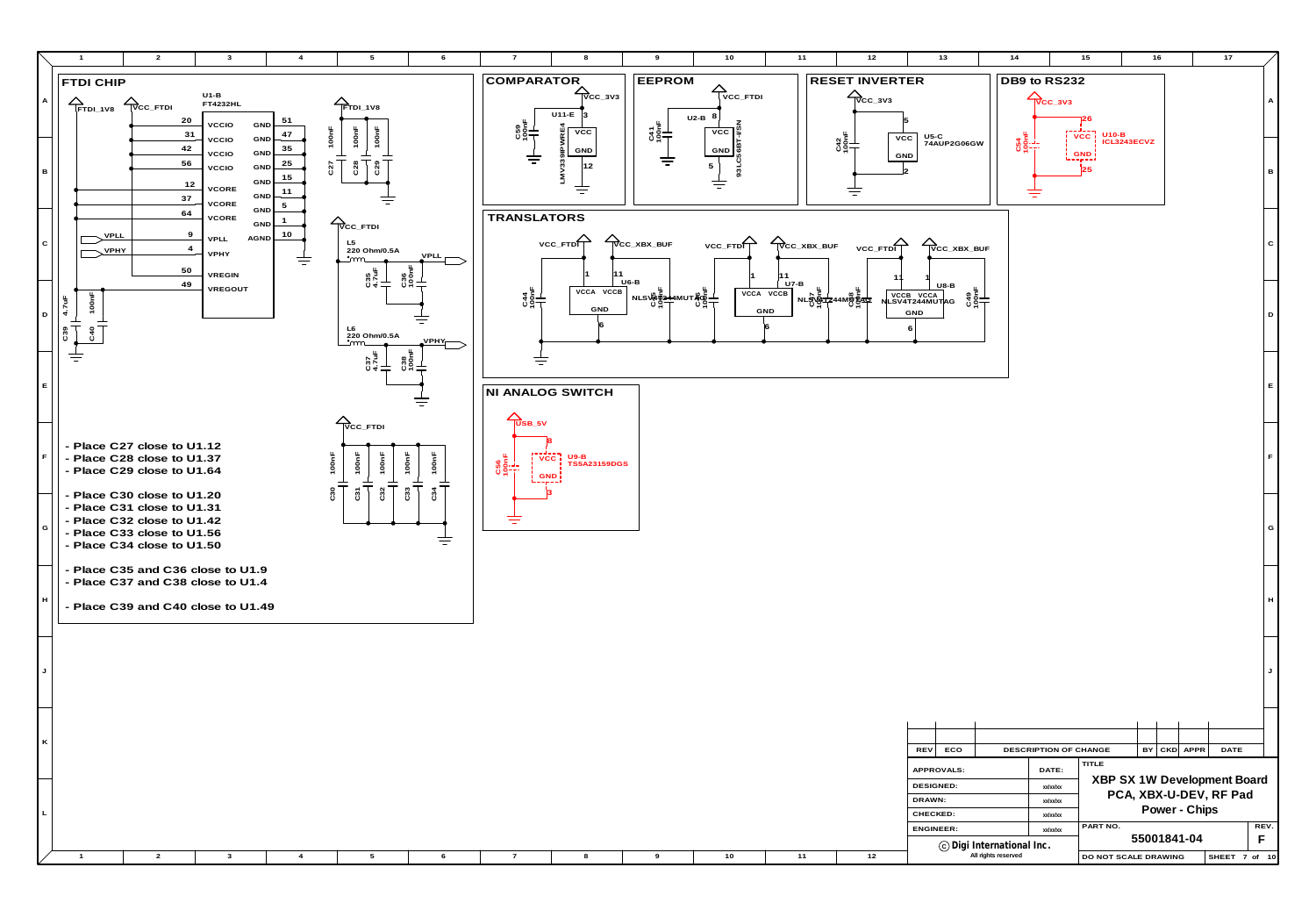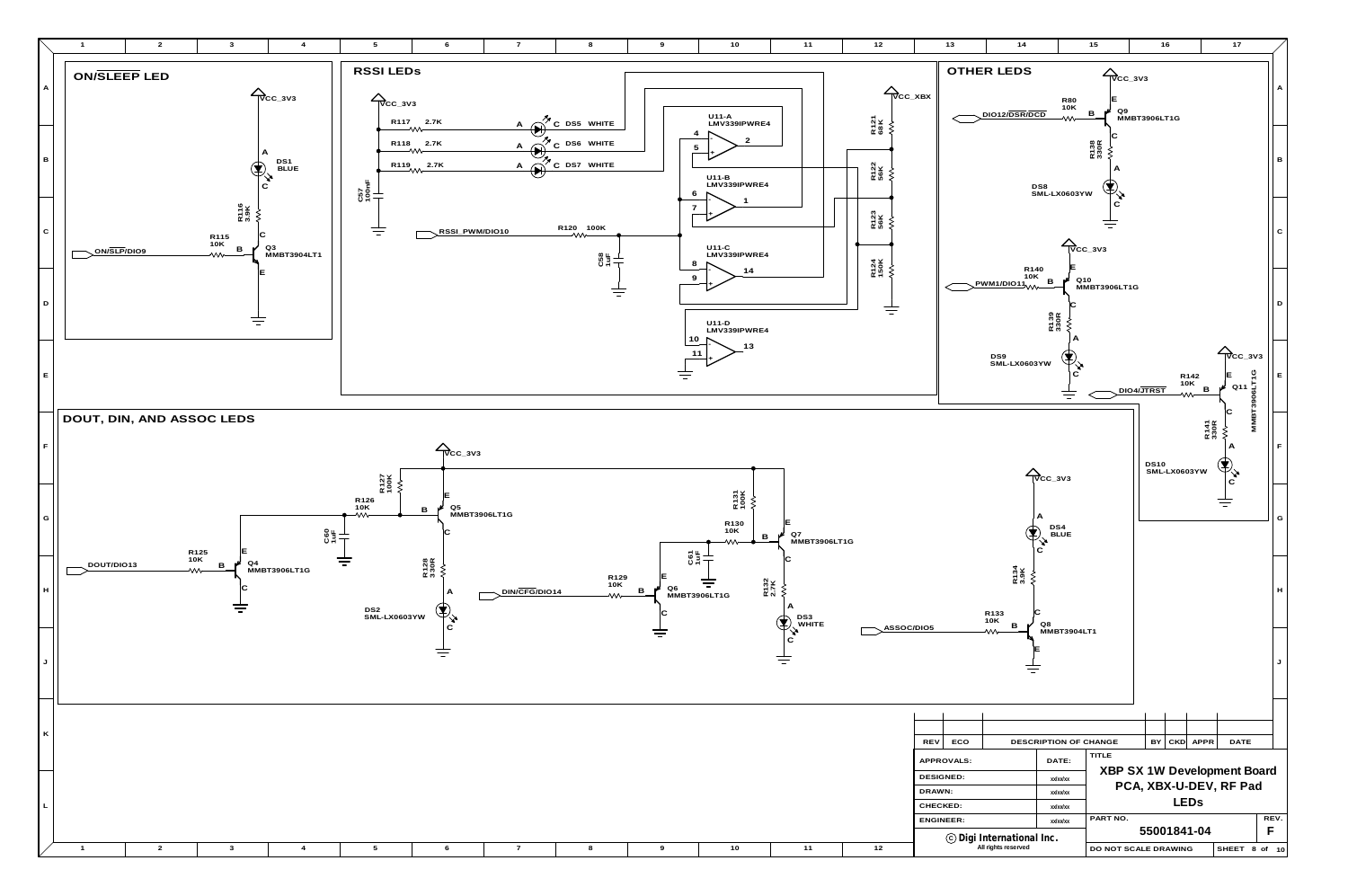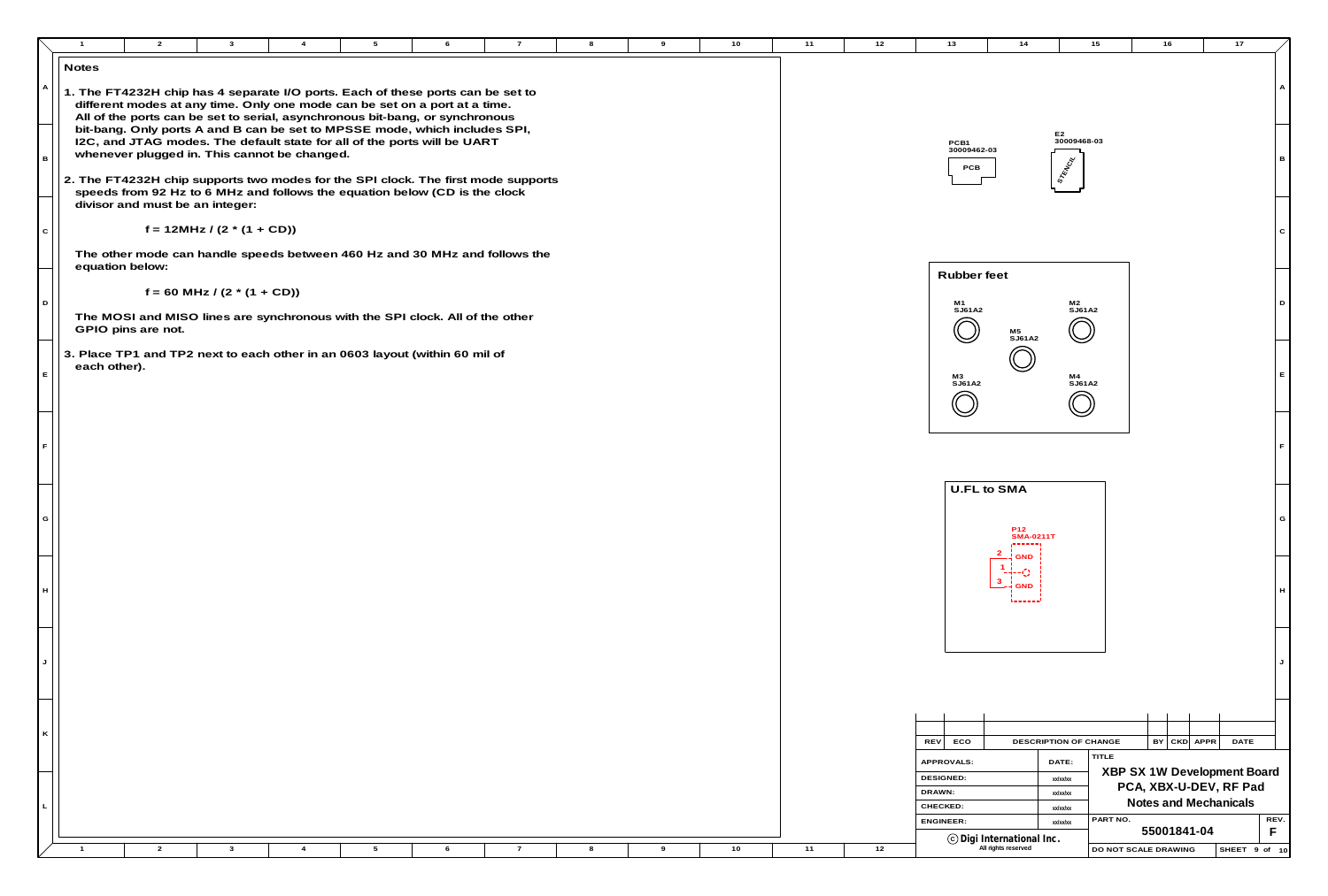|   |   | $\overline{1}$  | $\overline{2}$                               | $\mathbf{3}$                    |                |                                                                                                                                                                 |   | $\overline{7}$ |   |   | 10 | 11 | 12 | 13                             | 14                                                          | 15                               | 16                   | 17                                        |
|---|---|-----------------|----------------------------------------------|---------------------------------|----------------|-----------------------------------------------------------------------------------------------------------------------------------------------------------------|---|----------------|---|---|----|----|----|--------------------------------|-------------------------------------------------------------|----------------------------------|----------------------|-------------------------------------------|
|   |   | <b>Notes</b>    |                                              |                                 |                |                                                                                                                                                                 |   |                |   |   |    |    |    |                                |                                                             |                                  |                      |                                           |
|   |   |                 |                                              |                                 |                | 1. The FT4232H chip has 4 separate I/O ports. Each of these ports can be set to<br>different modes at any time. Only one mode can be set on a port at a time.   |   |                |   |   |    |    |    |                                |                                                             |                                  |                      |                                           |
|   |   |                 |                                              |                                 |                | All of the ports can be set to serial, asynchronous bit-bang, or synchronous<br>bit-bang. Only ports A and B can be set to MPSSE mode, which includes SPI,      |   |                |   |   |    |    |    |                                |                                                             | E2<br>30009468-03                |                      |                                           |
|   |   |                 | whenever plugged in. This cannot be changed. |                                 |                | I2C, and JTAG modes. The default state for all of the ports will be UART                                                                                        |   |                |   |   |    |    |    | PCB1<br>30009462-03<br>PCB     |                                                             | <b>STRATE</b>                    |                      |                                           |
|   |   |                 | divisor and must be an integer:              |                                 |                | 2. The FT4232H chip supports two modes for the SPI clock. The first mode supports<br>speeds from 92 Hz to 6 MHz and follows the equation below (CD is the clock |   |                |   |   |    |    |    |                                |                                                             |                                  |                      |                                           |
| C |   |                 |                                              | $f = 12MHz / (2 * (1 + CD))$    |                |                                                                                                                                                                 |   |                |   |   |    |    |    |                                |                                                             |                                  |                      |                                           |
|   |   | equation below: |                                              |                                 |                | The other mode can handle speeds between 460 Hz and 30 MHz and follows the                                                                                      |   |                |   |   |    |    |    | Rubber feet                    |                                                             |                                  |                      |                                           |
|   |   |                 |                                              | $f = 60$ MHz / $(2 * (1 + CD))$ |                |                                                                                                                                                                 |   |                |   |   |    |    |    |                                |                                                             |                                  |                      |                                           |
|   |   |                 | GPIO pins are not.                           |                                 |                | The MOSI and MISO lines are synchronous with the SPI clock. All of the other                                                                                    |   |                |   |   |    |    |    | M1<br>SJ61A2                   | M5<br>SJ61A2                                                | M2<br>SJ61A2                     |                      |                                           |
|   |   | each other).    |                                              |                                 |                | 3. Place TP1 and TP2 next to each other in an 0603 layout (within 60 mil of                                                                                     |   |                |   |   |    |    |    |                                |                                                             |                                  |                      |                                           |
|   |   |                 |                                              |                                 |                |                                                                                                                                                                 |   |                |   |   |    |    |    | M3<br>SJ61A2                   |                                                             | M4<br>SJ61A2                     |                      |                                           |
|   |   |                 |                                              |                                 |                |                                                                                                                                                                 |   |                |   |   |    |    |    |                                |                                                             |                                  |                      |                                           |
|   |   |                 |                                              |                                 |                |                                                                                                                                                                 |   |                |   |   |    |    |    |                                |                                                             |                                  |                      |                                           |
|   |   |                 |                                              |                                 |                |                                                                                                                                                                 |   |                |   |   |    |    |    |                                |                                                             |                                  |                      |                                           |
|   |   |                 |                                              |                                 |                |                                                                                                                                                                 |   |                |   |   |    |    |    |                                | U.FL to SMA                                                 |                                  |                      |                                           |
|   | G |                 |                                              |                                 |                |                                                                                                                                                                 |   |                |   |   |    |    |    |                                | P12<br>SMA-0211T                                            |                                  |                      |                                           |
|   |   |                 |                                              |                                 |                |                                                                                                                                                                 |   |                |   |   |    |    |    |                                | ------<br><b>GND</b>                                        |                                  |                      |                                           |
|   |   |                 |                                              |                                 |                |                                                                                                                                                                 |   |                |   |   |    |    |    |                                | $1 - i$<br>$-+ - O$<br>$\mathbf{3}$<br>-4 GND               |                                  |                      |                                           |
|   | H |                 |                                              |                                 |                |                                                                                                                                                                 |   |                |   |   |    |    |    |                                |                                                             |                                  |                      |                                           |
|   |   |                 |                                              |                                 |                |                                                                                                                                                                 |   |                |   |   |    |    |    |                                |                                                             |                                  |                      |                                           |
|   |   |                 |                                              |                                 |                |                                                                                                                                                                 |   |                |   |   |    |    |    |                                |                                                             |                                  |                      |                                           |
|   |   |                 |                                              |                                 |                |                                                                                                                                                                 |   |                |   |   |    |    |    |                                |                                                             |                                  |                      |                                           |
|   |   |                 |                                              |                                 |                |                                                                                                                                                                 |   |                |   |   |    |    |    |                                |                                                             |                                  |                      |                                           |
|   | K |                 |                                              |                                 |                |                                                                                                                                                                 |   |                |   |   |    |    |    |                                |                                                             |                                  |                      |                                           |
|   |   |                 |                                              |                                 |                |                                                                                                                                                                 |   |                |   |   |    |    |    | ECO<br>REV                     |                                                             | DESCRIPTION OF CHANGE<br>TITLE   |                      | $BY$ $CKD$ $APPR$<br>DA                   |
|   |   |                 |                                              |                                 |                |                                                                                                                                                                 |   |                |   |   |    |    |    | APPROVALS:<br><b>DESIGNED:</b> |                                                             | DATE:<br>xx/xx/xx                |                      | <b>XBP SX 1W Development</b>              |
|   |   |                 |                                              |                                 |                |                                                                                                                                                                 |   |                |   |   |    |    |    | DRAWN:                         |                                                             | xx/xx/xx                         |                      | PCA, XBX-U-DEV, RF<br>Notes and Mechanica |
|   |   |                 |                                              |                                 |                |                                                                                                                                                                 |   |                |   |   |    |    |    | CHECKED:<br>ENGINEER:          |                                                             | xx/xx/xx<br>PART NO.<br>xx/xx/xx |                      |                                           |
|   |   |                 |                                              |                                 |                |                                                                                                                                                                 |   |                |   |   |    |    |    |                                | $\copyright$ Digi International Inc.<br>All rights reserved |                                  | 55001841-04          |                                           |
|   |   | $\overline{1}$  | $\overline{2}$                               | $\mathbf{3}$                    | $\overline{4}$ | $5\overline{)}$                                                                                                                                                 | 6 | $\overline{7}$ | 8 | 9 | 10 | 11 | 12 |                                |                                                             |                                  | DO NOT SCALE DRAWING | <b>SHEE</b>                               |

|                              | 13                                     | 14                                                                    |                                         | 15                                 | 16          |     |             | 17                           |   |      |
|------------------------------|----------------------------------------|-----------------------------------------------------------------------|-----------------------------------------|------------------------------------|-------------|-----|-------------|------------------------------|---|------|
|                              |                                        |                                                                       |                                         |                                    |             |     |             |                              |   | Α    |
|                              | PCB <sub>1</sub><br>30009462-03<br>PCB |                                                                       | E <sub>2</sub><br>30009468-03<br>STRAIG |                                    |             |     |             |                              |   | в    |
|                              |                                        |                                                                       |                                         |                                    |             |     |             |                              |   | С    |
|                              | <b>Rubber</b> feet<br>M1<br>SJ61A2     | M <sub>5</sub><br>SJ61A2                                              | M <sub>2</sub><br>SJ61A2                |                                    |             |     |             |                              |   | D    |
|                              | МЗ<br>SJ61A2                           |                                                                       | M4<br>SJ61A2                            |                                    |             |     |             |                              |   | Е    |
|                              |                                        |                                                                       |                                         |                                    |             |     |             |                              |   | F    |
|                              |                                        | U.FL to SMA<br>P <sub>12</sub><br><b>SMA-0211T</b><br>2<br><b>GND</b> |                                         |                                    |             |     |             |                              |   | G    |
|                              |                                        | <b>GND</b>                                                            |                                         |                                    |             |     |             |                              |   | H    |
|                              |                                        |                                                                       |                                         |                                    |             |     |             |                              |   | J    |
|                              |                                        |                                                                       |                                         |                                    |             |     |             |                              |   |      |
| <b>REV</b>                   | ECO                                    |                                                                       | DESCRIPTION OF CHANGE                   |                                    | BY.         | CKD | <b>APPR</b> | <b>DATE</b>                  |   |      |
|                              | APPROVALS:                             |                                                                       | DATE:                                   | <b>TITLE</b>                       |             |     |             |                              |   |      |
| <b>DESIGNED:</b>             |                                        |                                                                       | xx/xx/xx                                | XBP SX 1W Development Board        |             |     |             | PCA, XBX-U-DEV, RF Pad       |   |      |
| DRAWN:                       |                                        |                                                                       | xx/xx/xx                                |                                    |             |     |             | <b>Notes and Mechanicals</b> |   |      |
| CHECKED:<br><b>ENGINEER:</b> |                                        |                                                                       | xx/xx/xx<br>xx/xx/xx                    | PART NO.                           |             |     |             |                              |   | REV. |
|                              |                                        | © Digi International Inc.                                             |                                         |                                    | 55001841-04 |     |             |                              | F |      |
|                              |                                        | All rights reserved                                                   |                                         | DO NOT SCALE DRAWING<br>SHEET 9 of |             |     |             |                              |   | 10   |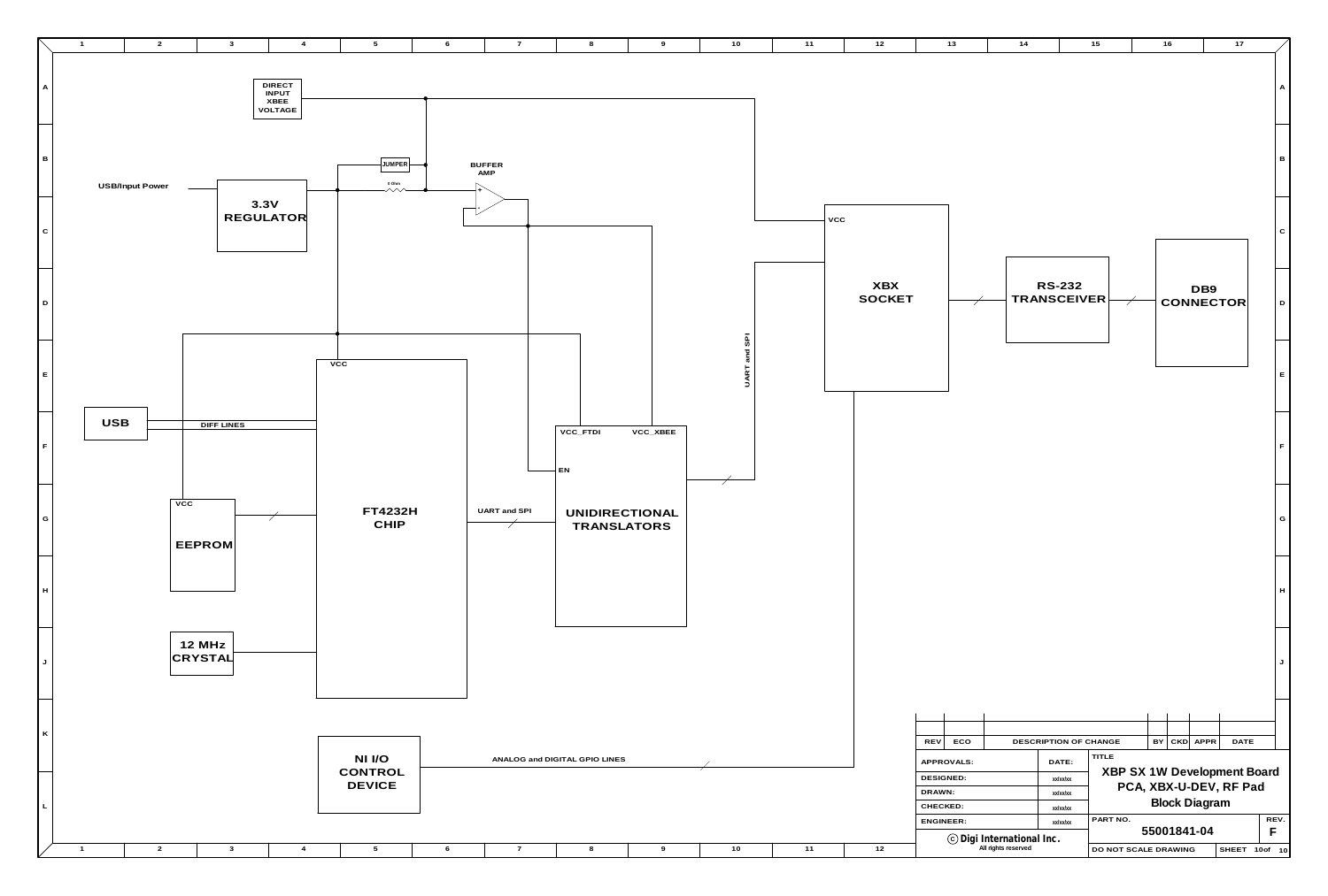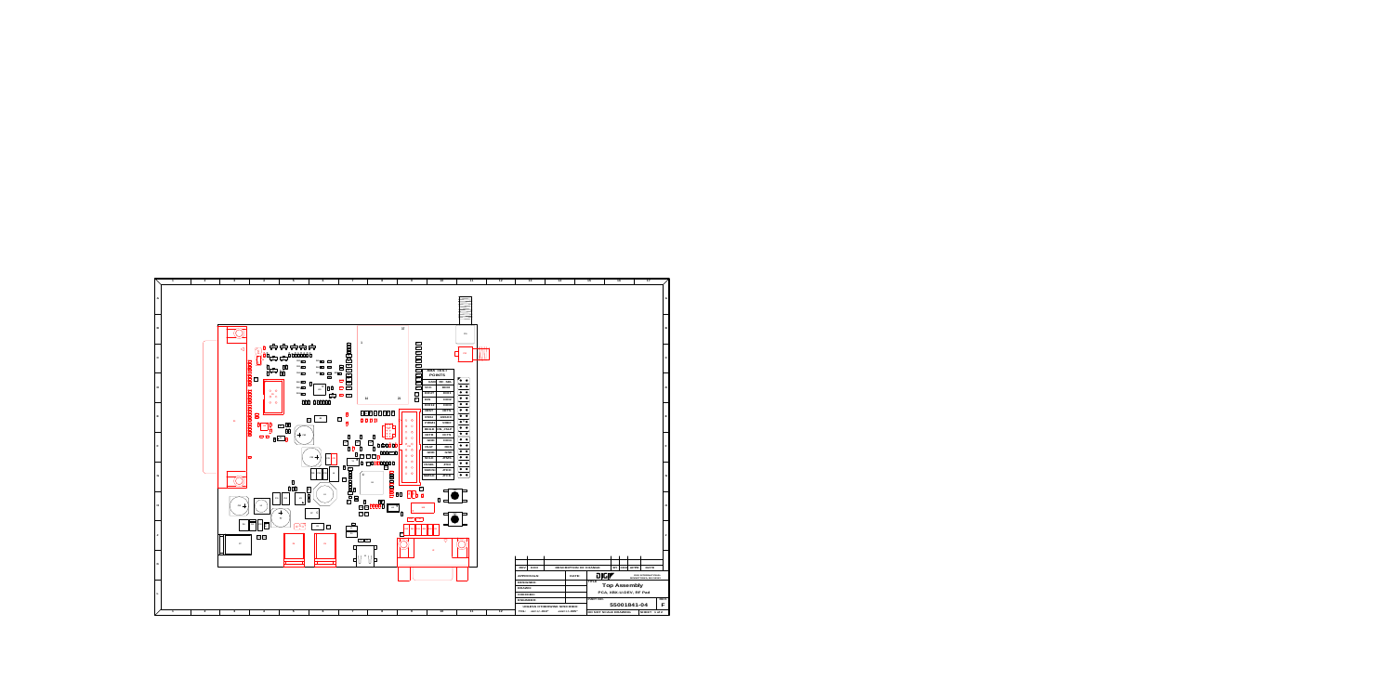